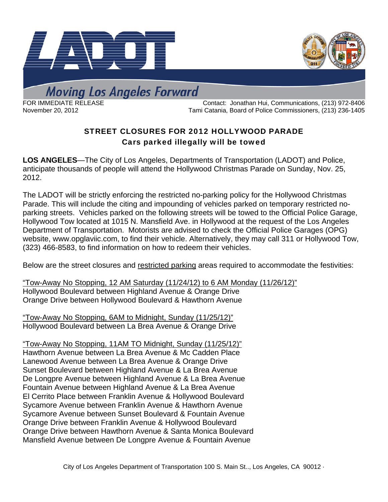



**Moving Los Angeles Forward** 

FOR IMMEDIATE RELEASE Contact: Jonathan Hui, Communications, (213) 972-8406 November 20, 2012 Tami Catania, Board of Police Commissioners, (213) 236-1405

## STREET CLOSURES FOR 2012 HOLLYWOOD PARADE Cars parked illegally will be towed

**LOS ANGELES**—The City of Los Angeles, Departments of Transportation (LADOT) and Police, anticipate thousands of people will attend the Hollywood Christmas Parade on Sunday, Nov. 25, 2012.

The LADOT will be strictly enforcing the restricted no-parking policy for the Hollywood Christmas Parade. This will include the citing and impounding of vehicles parked on temporary restricted noparking streets. Vehicles parked on the following streets will be towed to the Official Police Garage, Hollywood Tow located at 1015 N. Mansfield Ave. in Hollywood at the request of the Los Angeles Department of Transportation. Motorists are advised to check the Official Police Garages (OPG) website, www.opglaviic.com, to find their vehicle. Alternatively, they may call 311 or Hollywood Tow, (323) 466-8583, to find information on how to redeem their vehicles.

Below are the street closures and restricted parking areas required to accommodate the festivities:

"Tow-Away No Stopping, 12 AM Saturday (11/24/12) to 6 AM Monday (11/26/12)" Hollywood Boulevard between Highland Avenue & Orange Drive Orange Drive between Hollywood Boulevard & Hawthorn Avenue

"Tow-Away No Stopping, 6AM to Midnight, Sunday (11/25/12)" Hollywood Boulevard between La Brea Avenue & Orange Drive

"Tow-Away No Stopping, 11AM TO Midnight, Sunday (11/25/12)" Hawthorn Avenue between La Brea Avenue & Mc Cadden Place Lanewood Avenue between La Brea Avenue & Orange Drive Sunset Boulevard between Highland Avenue & La Brea Avenue De Longpre Avenue between Highland Avenue & La Brea Avenue Fountain Avenue between Highland Avenue & La Brea Avenue El Cerrito Place between Franklin Avenue & Hollywood Boulevard Sycamore Avenue between Franklin Avenue & Hawthorn Avenue Sycamore Avenue between Sunset Boulevard & Fountain Avenue Orange Drive between Franklin Avenue & Hollywood Boulevard Orange Drive between Hawthorn Avenue & Santa Monica Boulevard Mansfield Avenue between De Longpre Avenue & Fountain Avenue